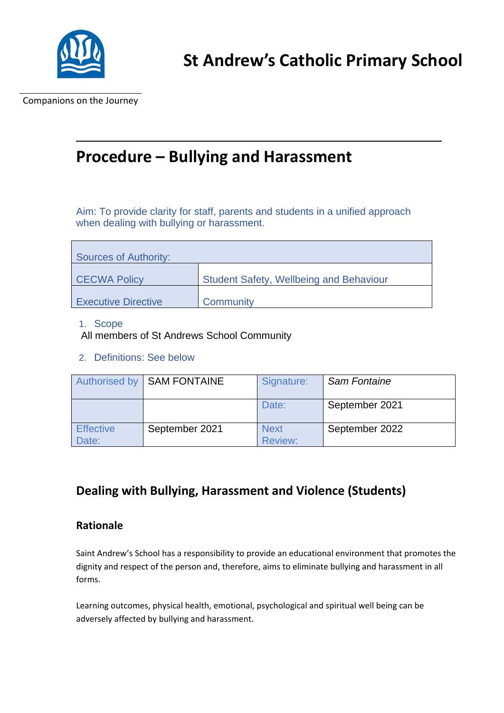

Companions on the Journey

# **Procedure – Bullying and Harassment**

Aim: To provide clarity for staff, parents and students in a unified approach when dealing with bullying or harassment.

| Sources of Authority:      |                                                |  |  |  |
|----------------------------|------------------------------------------------|--|--|--|
| <b>CECWA Policy</b>        | <b>Student Safety, Wellbeing and Behaviour</b> |  |  |  |
| <b>Executive Directive</b> | Community                                      |  |  |  |

#### 1. Scope

All members of St Andrews School Community

2. Definitions: See below

|                           | <b>Authorised by SAM FONTAINE</b> | Signature:                    | <b>Sam Fontaine</b> |
|---------------------------|-----------------------------------|-------------------------------|---------------------|
|                           |                                   | Date:                         | September 2021      |
| <b>Effective</b><br>Date: | September 2021                    | <b>Next</b><br><b>Review:</b> | September 2022      |

## **Dealing with Bullying, Harassment and Violence (Students)**

#### **Rationale**

Saint Andrew's School has a responsibility to provide an educational environment that promotes the dignity and respect of the person and, therefore, aims to eliminate bullying and harassment in all forms.

Learning outcomes, physical health, emotional, psychological and spiritual well being can be adversely affected by bullying and harassment.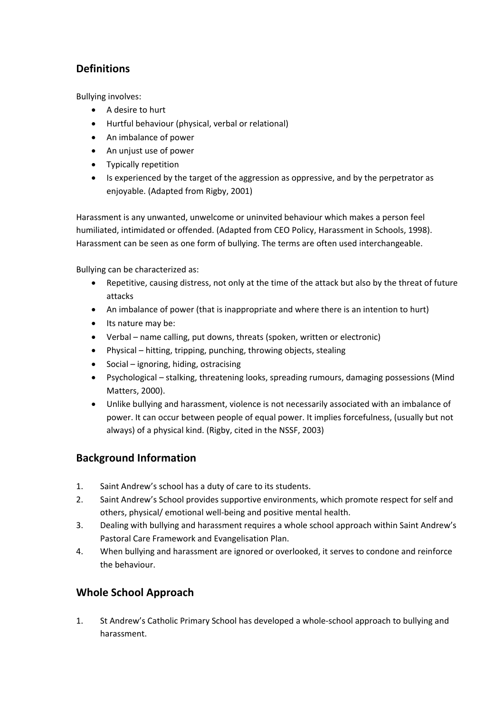### **Definitions**

Bullying involves:

- A desire to hurt
- Hurtful behaviour (physical, verbal or relational)
- An imbalance of power
- An unjust use of power
- Typically repetition
- Is experienced by the target of the aggression as oppressive, and by the perpetrator as enjoyable. (Adapted from Rigby, 2001)

Harassment is any unwanted, unwelcome or uninvited behaviour which makes a person feel humiliated, intimidated or offended. (Adapted from CEO Policy, Harassment in Schools, 1998). Harassment can be seen as one form of bullying. The terms are often used interchangeable.

Bullying can be characterized as:

- Repetitive, causing distress, not only at the time of the attack but also by the threat of future attacks
- An imbalance of power (that is inappropriate and where there is an intention to hurt)
- Its nature may be:
- Verbal name calling, put downs, threats (spoken, written or electronic)
- Physical hitting, tripping, punching, throwing objects, stealing
- Social ignoring, hiding, ostracising
- Psychological stalking, threatening looks, spreading rumours, damaging possessions (Mind Matters, 2000).
- Unlike bullying and harassment, violence is not necessarily associated with an imbalance of power. It can occur between people of equal power. It implies forcefulness, (usually but not always) of a physical kind. (Rigby, cited in the NSSF, 2003)

### **Background Information**

- 1. Saint Andrew's school has a duty of care to its students.
- 2. Saint Andrew's School provides supportive environments, which promote respect for self and others, physical/ emotional well-being and positive mental health.
- 3. Dealing with bullying and harassment requires a whole school approach within Saint Andrew's Pastoral Care Framework and Evangelisation Plan.
- 4. When bullying and harassment are ignored or overlooked, it serves to condone and reinforce the behaviour.

### **Whole School Approach**

1. St Andrew's Catholic Primary School has developed a whole-school approach to bullying and harassment.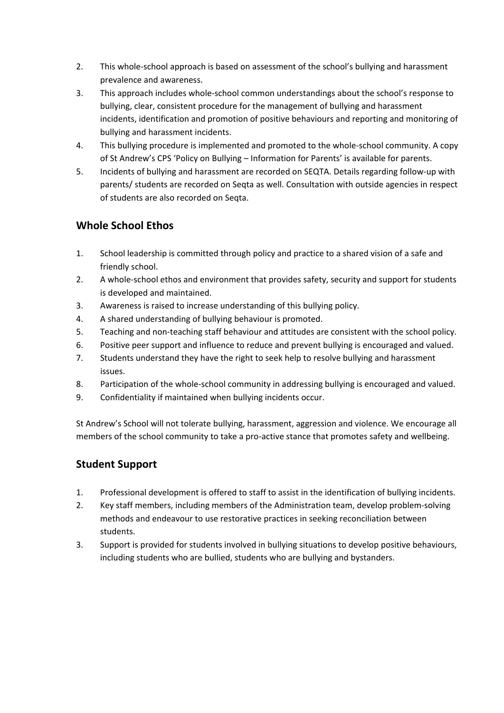- 2. This whole-school approach is based on assessment of the school's bullying and harassment prevalence and awareness.
- 3. This approach includes whole-school common understandings about the school's response to bullying, clear, consistent procedure for the management of bullying and harassment incidents, identification and promotion of positive behaviours and reporting and monitoring of bullying and harassment incidents.
- 4. This bullying procedure is implemented and promoted to the whole-school community. A copy of St Andrew's CPS 'Policy on Bullying – Information for Parents' is available for parents.
- 5. Incidents of bullying and harassment are recorded on SEQTA. Details regarding follow-up with parents/ students are recorded on Seqta as well. Consultation with outside agencies in respect of students are also recorded on Seqta.

### **Whole School Ethos**

- 1. School leadership is committed through policy and practice to a shared vision of a safe and friendly school.
- 2. A whole-school ethos and environment that provides safety, security and support for students is developed and maintained.
- 3. Awareness is raised to increase understanding of this bullying policy.
- 4. A shared understanding of bullying behaviour is promoted.
- 5. Teaching and non-teaching staff behaviour and attitudes are consistent with the school policy.
- 6. Positive peer support and influence to reduce and prevent bullying is encouraged and valued.
- 7. Students understand they have the right to seek help to resolve bullying and harassment issues.
- 8. Participation of the whole-school community in addressing bullying is encouraged and valued.
- 9. Confidentiality if maintained when bullying incidents occur.

St Andrew's School will not tolerate bullying, harassment, aggression and violence. We encourage all members of the school community to take a pro-active stance that promotes safety and wellbeing.

### **Student Support**

- 1. Professional development is offered to staff to assist in the identification of bullying incidents.
- 2. Key staff members, including members of the Administration team, develop problem-solving methods and endeavour to use restorative practices in seeking reconciliation between students.
- 3. Support is provided for students involved in bullying situations to develop positive behaviours, including students who are bullied, students who are bullying and bystanders.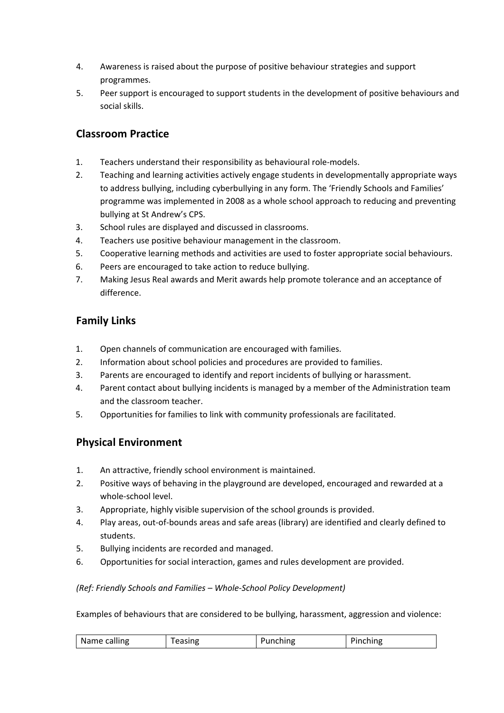- 4. Awareness is raised about the purpose of positive behaviour strategies and support programmes.
- 5. Peer support is encouraged to support students in the development of positive behaviours and social skills.

#### **Classroom Practice**

- 1. Teachers understand their responsibility as behavioural role-models.
- 2. Teaching and learning activities actively engage students in developmentally appropriate ways to address bullying, including cyberbullying in any form. The 'Friendly Schools and Families' programme was implemented in 2008 as a whole school approach to reducing and preventing bullying at St Andrew's CPS.
- 3. School rules are displayed and discussed in classrooms.
- 4. Teachers use positive behaviour management in the classroom.
- 5. Cooperative learning methods and activities are used to foster appropriate social behaviours.
- 6. Peers are encouraged to take action to reduce bullying.
- 7. Making Jesus Real awards and Merit awards help promote tolerance and an acceptance of difference.

#### **Family Links**

- 1. Open channels of communication are encouraged with families.
- 2. Information about school policies and procedures are provided to families.
- 3. Parents are encouraged to identify and report incidents of bullying or harassment.
- 4. Parent contact about bullying incidents is managed by a member of the Administration team and the classroom teacher.
- 5. Opportunities for families to link with community professionals are facilitated.

#### **Physical Environment**

- 1. An attractive, friendly school environment is maintained.
- 2. Positive ways of behaving in the playground are developed, encouraged and rewarded at a whole-school level.
- 3. Appropriate, highly visible supervision of the school grounds is provided.
- 4. Play areas, out-of-bounds areas and safe areas (library) are identified and clearly defined to students.
- 5. Bullying incidents are recorded and managed.
- 6. Opportunities for social interaction, games and rules development are provided.

#### *(Ref: Friendly Schools and Families – Whole-School Policy Development)*

Examples of behaviours that are considered to be bullying, harassment, aggression and violence:

| Name calling<br>$   -$<br>-----<br>. |
|--------------------------------------|
|--------------------------------------|